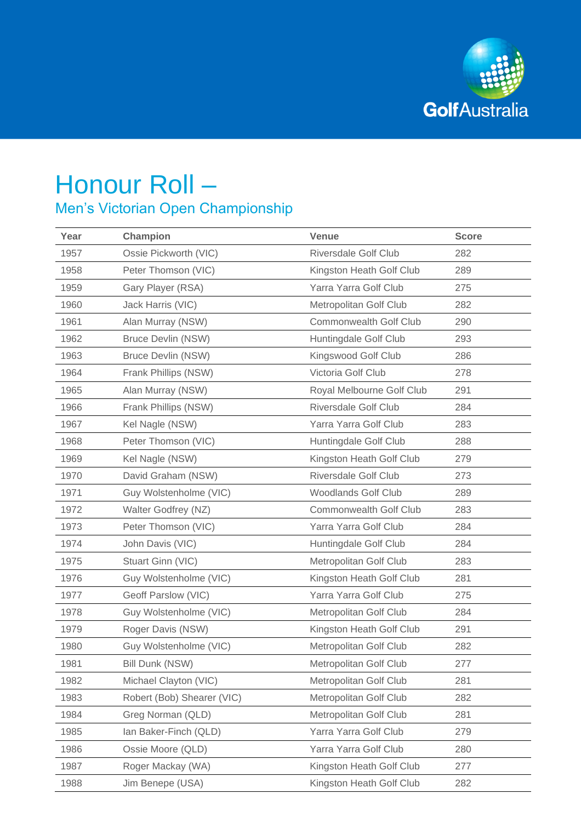

## Honour Roll – Men's Victorian Open Championship

| Year | Champion                   | <b>Venue</b>                  | <b>Score</b> |
|------|----------------------------|-------------------------------|--------------|
| 1957 | Ossie Pickworth (VIC)      | <b>Riversdale Golf Club</b>   | 282          |
| 1958 | Peter Thomson (VIC)        | Kingston Heath Golf Club      | 289          |
| 1959 | Gary Player (RSA)          | Yarra Yarra Golf Club         | 275          |
| 1960 | Jack Harris (VIC)          | Metropolitan Golf Club        | 282          |
| 1961 | Alan Murray (NSW)          | Commonwealth Golf Club        | 290          |
| 1962 | <b>Bruce Devlin (NSW)</b>  | Huntingdale Golf Club         | 293          |
| 1963 | <b>Bruce Devlin (NSW)</b>  | Kingswood Golf Club           | 286          |
| 1964 | Frank Phillips (NSW)       | Victoria Golf Club            | 278          |
| 1965 | Alan Murray (NSW)          | Royal Melbourne Golf Club     | 291          |
| 1966 | Frank Phillips (NSW)       | <b>Riversdale Golf Club</b>   | 284          |
| 1967 | Kel Nagle (NSW)            | Yarra Yarra Golf Club         | 283          |
| 1968 | Peter Thomson (VIC)        | Huntingdale Golf Club         | 288          |
| 1969 | Kel Nagle (NSW)            | Kingston Heath Golf Club      | 279          |
| 1970 | David Graham (NSW)         | <b>Riversdale Golf Club</b>   | 273          |
| 1971 | Guy Wolstenholme (VIC)     | <b>Woodlands Golf Club</b>    | 289          |
| 1972 | Walter Godfrey (NZ)        | <b>Commonwealth Golf Club</b> | 283          |
| 1973 | Peter Thomson (VIC)        | Yarra Yarra Golf Club         | 284          |
| 1974 | John Davis (VIC)           | Huntingdale Golf Club         | 284          |
| 1975 | Stuart Ginn (VIC)          | Metropolitan Golf Club        | 283          |
| 1976 | Guy Wolstenholme (VIC)     | Kingston Heath Golf Club      | 281          |
| 1977 | Geoff Parslow (VIC)        | Yarra Yarra Golf Club         | 275          |
| 1978 | Guy Wolstenholme (VIC)     | Metropolitan Golf Club        | 284          |
| 1979 | Roger Davis (NSW)          | Kingston Heath Golf Club      | 291          |
| 1980 | Guy Wolstenholme (VIC)     | Metropolitan Golf Club        | 282          |
| 1981 | Bill Dunk (NSW)            | Metropolitan Golf Club        | 277          |
| 1982 | Michael Clayton (VIC)      | Metropolitan Golf Club        | 281          |
| 1983 | Robert (Bob) Shearer (VIC) | Metropolitan Golf Club        | 282          |
| 1984 | Greg Norman (QLD)          | Metropolitan Golf Club        | 281          |
| 1985 | Ian Baker-Finch (QLD)      | Yarra Yarra Golf Club         | 279          |
| 1986 | Ossie Moore (QLD)          | Yarra Yarra Golf Club         | 280          |
| 1987 | Roger Mackay (WA)          | Kingston Heath Golf Club      | 277          |
| 1988 | Jim Benepe (USA)           | Kingston Heath Golf Club      | 282          |